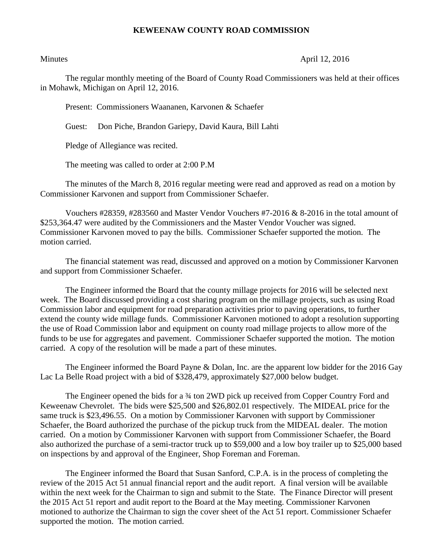## **KEWEENAW COUNTY ROAD COMMISSION**

Minutes April 12, 2016

The regular monthly meeting of the Board of County Road Commissioners was held at their offices in Mohawk, Michigan on April 12, 2016.

Present: Commissioners Waananen, Karvonen & Schaefer

Guest: Don Piche, Brandon Gariepy, David Kaura, Bill Lahti

Pledge of Allegiance was recited.

The meeting was called to order at 2:00 P.M

The minutes of the March 8, 2016 regular meeting were read and approved as read on a motion by Commissioner Karvonen and support from Commissioner Schaefer.

Vouchers #28359, #283560 and Master Vendor Vouchers #7-2016 & 8-2016 in the total amount of \$253,364.47 were audited by the Commissioners and the Master Vendor Voucher was signed. Commissioner Karvonen moved to pay the bills. Commissioner Schaefer supported the motion. The motion carried.

The financial statement was read, discussed and approved on a motion by Commissioner Karvonen and support from Commissioner Schaefer.

The Engineer informed the Board that the county millage projects for 2016 will be selected next week. The Board discussed providing a cost sharing program on the millage projects, such as using Road Commission labor and equipment for road preparation activities prior to paving operations, to further extend the county wide millage funds. Commissioner Karvonen motioned to adopt a resolution supporting the use of Road Commission labor and equipment on county road millage projects to allow more of the funds to be use for aggregates and pavement. Commissioner Schaefer supported the motion. The motion carried. A copy of the resolution will be made a part of these minutes.

The Engineer informed the Board Payne & Dolan, Inc. are the apparent low bidder for the 2016 Gay Lac La Belle Road project with a bid of \$328,479, approximately \$27,000 below budget.

The Engineer opened the bids for a 3<sup>4</sup> ton 2WD pick up received from Copper Country Ford and Keweenaw Chevrolet. The bids were \$25,500 and \$26,802.01 respectively. The MIDEAL price for the same truck is \$23,496.55. On a motion by Commissioner Karvonen with support by Commissioner Schaefer, the Board authorized the purchase of the pickup truck from the MIDEAL dealer. The motion carried. On a motion by Commissioner Karvonen with support from Commissioner Schaefer, the Board also authorized the purchase of a semi-tractor truck up to \$59,000 and a low boy trailer up to \$25,000 based on inspections by and approval of the Engineer, Shop Foreman and Foreman.

The Engineer informed the Board that Susan Sanford, C.P.A. is in the process of completing the review of the 2015 Act 51 annual financial report and the audit report. A final version will be available within the next week for the Chairman to sign and submit to the State. The Finance Director will present the 2015 Act 51 report and audit report to the Board at the May meeting. Commissioner Karvonen motioned to authorize the Chairman to sign the cover sheet of the Act 51 report. Commissioner Schaefer supported the motion. The motion carried.